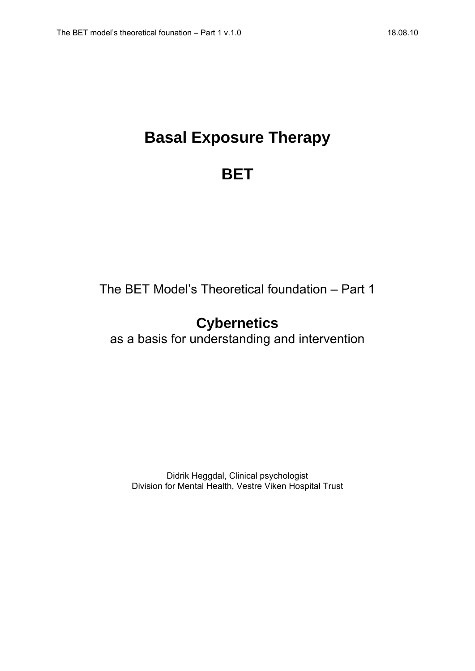# **Basal Exposure Therapy**

## **BET**

The BET Model's Theoretical foundation – Part 1

## **Cybernetics**

as a basis for understanding and intervention

Didrik Heggdal, Clinical psychologist Division for Mental Health, Vestre Viken Hospital Trust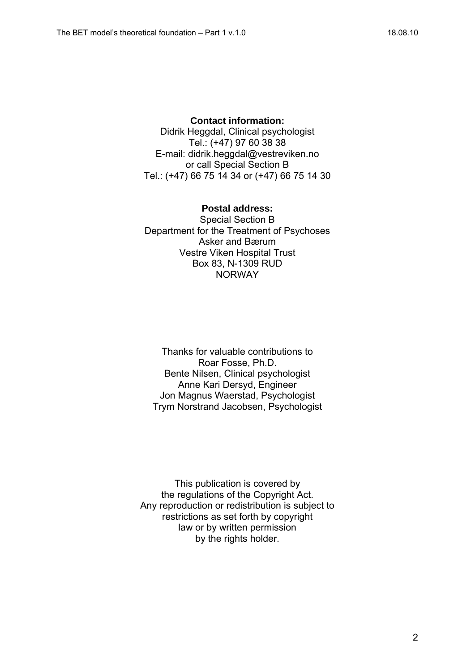**Contact information:**  Didrik Heggdal, Clinical psychologist Tel.: (+47) 97 60 38 38 E-mail: didrik.heggdal@vestreviken.no or call Special Section B Tel.: (+47) 66 75 14 34 or (+47) 66 75 14 30

#### **Postal address:**

Special Section B Department for the Treatment of Psychoses Asker and Bærum Vestre Viken Hospital Trust Box 83, N-1309 RUD **NORWAY** 

Thanks for valuable contributions to Roar Fosse, Ph.D. Bente Nilsen, Clinical psychologist Anne Kari Dersyd, Engineer Jon Magnus Waerstad, Psychologist Trym Norstrand Jacobsen, Psychologist

This publication is covered by the regulations of the Copyright Act. Any reproduction or redistribution is subject to restrictions as set forth by copyright law or by written permission by the rights holder.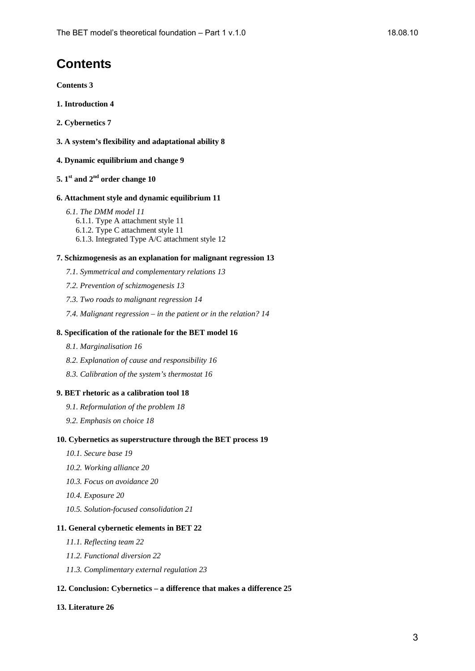## **Contents**

**Contents 3**

- **1. Introduction 4**
- **2. Cybernetics 7**
- **3. A system's flexibility and adaptational ability 8**
- **4. Dynamic equilibrium and change 9**
- **5. 1st and 2nd order change 10**

#### **6. Attachment style and dynamic equilibrium 11**

*6.1. The DMM model 11* 6.1.1. Type A attachment style 11 6.1.2. Type C attachment style 11 6.1.3. Integrated Type A/C attachment style 12

#### **7. Schizmogenesis as an explanation for malignant regression 13**

- *7.1. Symmetrical and complementary relations 13*
- *7.2. Prevention of schizmogenesis 13*
- *7.3. Two roads to malignant regression 14*
- *7.4. Malignant regression in the patient or in the relation? 14*

#### **8. Specification of the rationale for the BET model 16**

- *8.1. Marginalisation 16*
- *8.2. Explanation of cause and responsibility 16*
- *8.3. Calibration of the system's thermostat 16*

#### **9. BET rhetoric as a calibration tool 18**

- *9.1. Reformulation of the problem 18*
- *9.2. Emphasis on choice 18*

#### **10. Cybernetics as superstructure through the BET process 19**

- *10.1. Secure base 19*
- *10.2. Working alliance 20*
- *10.3. Focus on avoidance 20*
- *10.4. Exposure 20*
- *10.5. Solution-focused consolidation 21*

#### **11. General cybernetic elements in BET 22**

- *11.1. Reflecting team 22*
- *11.2. Functional diversion 22*
- *11.3. Complimentary external regulation 23*

#### **12. Conclusion: Cybernetics – a difference that makes a difference 25**

#### **13. Literature 26**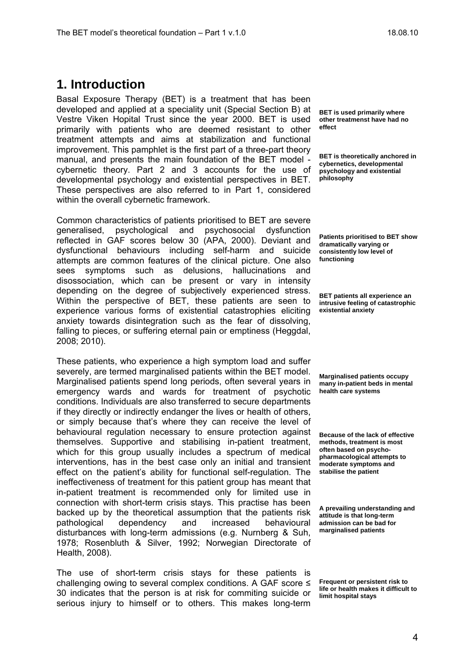Basal Exposure Therapy (BET) is a treatment that has been developed and applied at a speciality unit (Special Section B) at Vestre Viken Hopital Trust since the year 2000. BET is used primarily with patients who are deemed resistant to other treatment attempts and aims at stabilization and functional improvement. This pamphlet is the first part of a three-part theory manual, and presents the main foundation of the BET model cybernetic theory. Part 2 and 3 accounts for the use of developmental psychology and existential perspectives in BET. These perspectives are also referred to in Part 1, considered within the overall cybernetic framework.

Common characteristics of patients prioritised to BET are severe generalised, psychological and psychosocial dysfunction reflected in GAF scores below 30 (APA, 2000). Deviant and dysfunctional behaviours including self-harm and suicide attempts are common features of the clinical picture. One also sees symptoms such as delusions, hallucinations and disossociation, which can be present or vary in intensity depending on the degree of subjectively experienced stress. Within the perspective of BET, these patients are seen to experience various forms of existential catastrophies eliciting anxiety towards disintegration such as the fear of dissolving, falling to pieces, or suffering eternal pain or emptiness (Heggdal, 2008; 2010).

These patients, who experience a high symptom load and suffer severely, are termed marginalised patients within the BET model. Marginalised patients spend long periods, often several years in emergency wards and wards for treatment of psychotic conditions. Individuals are also transferred to secure departments if they directly or indirectly endanger the lives or health of others, or simply because that's where they can receive the level of behavioural regulation necessary to ensure protection against themselves. Supportive and stabilising in-patient treatment, which for this group usually includes a spectrum of medical interventions, has in the best case only an initial and transient effect on the patient's ability for functional self-regulation. The ineffectiveness of treatment for this patient group has meant that in-patient treatment is recommended only for limited use in connection with short-term crisis stays. This practise has been backed up by the theoretical assumption that the patients risk pathological dependency and increased behavioural disturbances with long-term admissions (e.g. Nurnberg & Suh, 1978; Rosenbluth & Silver, 1992; Norwegian Directorate of Health, 2008).

The use of short-term crisis stays for these patients is challenging owing to several complex conditions. A GAF score ≤ 30 indicates that the person is at risk for commiting suicide or serious injury to himself or to others. This makes long-term

**BET is used primarily where other treatmenst have had no effect** 

**BET is theoretically anchored in cybernetics, developmental psychology and existential philosophy** 

**Patients prioritised to BET show dramatically varying or consistently low level of functioning** 

**BET patients all experience an intrusive feeling of catastrophic existential anxiety** 

**Marginalised patients occupy many in-patient beds in mental health care systems** 

**Because of the lack of effective methods, treatment is most often based on psychopharmacological attempts to moderate symptoms and stabilise the patient** 

**A prevailing understanding and attitude is that long-term admission can be bad for marginalised patients** 

**Frequent or persistent risk to life or health makes it difficult to limit hospital stays**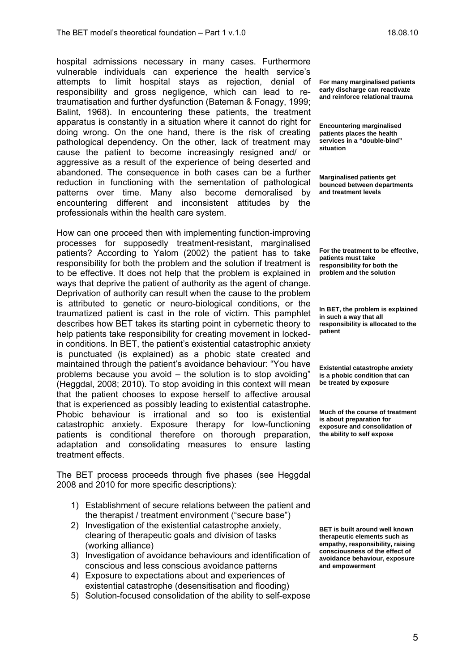hospital admissions necessary in many cases. Furthermore vulnerable individuals can experience the health service's attempts to limit hospital stays as rejection, denial of responsibility and gross negligence, which can lead to retraumatisation and further dysfunction (Bateman & Fonagy, 1999; Balint, 1968). In encountering these patients, the treatment apparatus is constantly in a situation where it cannot do right for doing wrong. On the one hand, there is the risk of creating pathological dependency. On the other, lack of treatment may cause the patient to become increasingly resigned and/ or aggressive as a result of the experience of being deserted and abandoned. The consequence in both cases can be a further reduction in functioning with the sementation of pathological patterns over time. Many also become demoralised by encountering different and inconsistent attitudes by the professionals within the health care system.

How can one proceed then with implementing function-improving processes for supposedly treatment-resistant, marginalised patients? According to Yalom (2002) the patient has to take responsibility for both the problem and the solution if treatment is to be effective. It does not help that the problem is explained in ways that deprive the patient of authority as the agent of change. Deprivation of authority can result when the cause to the problem is attributed to genetic or neuro-biological conditions, or the traumatized patient is cast in the role of victim. This pamphlet describes how BET takes its starting point in cybernetic theory to help patients take responsibility for creating movement in lockedin conditions. In BET, the patient's existential catastrophic anxiety is punctuated (is explained) as a phobic state created and maintained through the patient's avoidance behaviour: "You have problems because you avoid – the solution is to stop avoiding" (Heggdal, 2008; 2010). To stop avoiding in this context will mean that the patient chooses to expose herself to affective arousal that is experienced as possibly leading to existential catastrophe. Phobic behaviour is irrational and so too is existential catastrophic anxiety. Exposure therapy for low-functioning patients is conditional therefore on thorough preparation, adaptation and consolidating measures to ensure lasting treatment effects.

The BET process proceeds through five phases (see Heggdal 2008 and 2010 for more specific descriptions):

- 1) Establishment of secure relations between the patient and the therapist / treatment environment ("secure base")
- 2) Investigation of the existential catastrophe anxiety, clearing of therapeutic goals and division of tasks (working alliance)
- 3) Investigation of avoidance behaviours and identification of conscious and less conscious avoidance patterns
- 4) Exposure to expectations about and experiences of existential catastrophe (desensitisation and flooding)
- 5) Solution-focused consolidation of the ability to self-expose

**For many marginalised patients early discharge can reactivate and reinforce relational trauma** 

**Encountering marginalised patients places the health services in a "double-bind" situation** 

**Marginalised patients get bounced between departments and treatment levels** 

**For the treatment to be effective, patients must take responsibility for both the problem and the solution** 

**In BET, the problem is explained in such a way that all responsibility is allocated to the patient** 

**Existential catastrophe anxiety is a phobic condition that can be treated by exposure** 

**Much of the course of treatment is about preparation for exposure and consolidation of the ability to self expose** 

**BET is built around well known therapeutic elements such as empathy, responsibility, raising consciousness of the effect of avoidance behaviour, exposure and empowerment**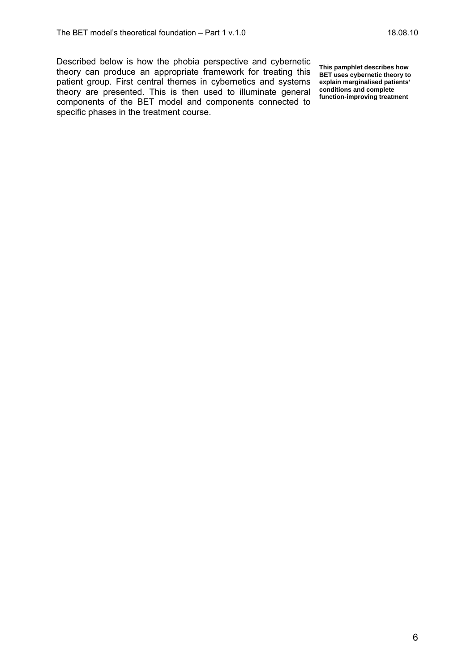Described below is how the phobia perspective and cybernetic theory can produce an appropriate framework for treating this patient group. First central themes in cybernetics and systems theory are presented. This is then used to illuminate general components of the BET model and components connected to specific phases in the treatment course.

**This pamphlet describes how BET uses cybernetic theory to explain marginalised patients' conditions and complete function-improving treatment**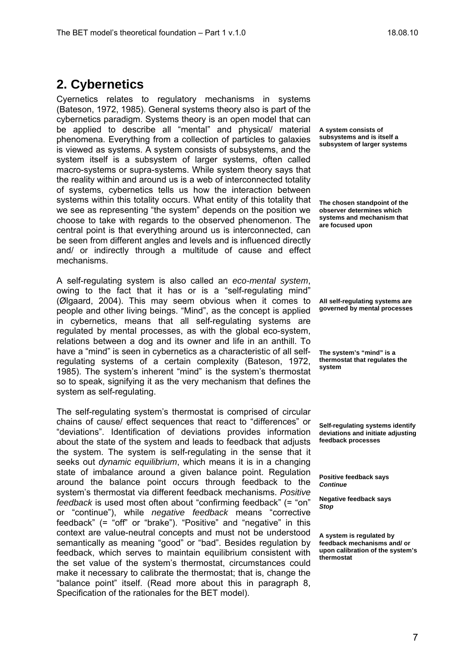Cyernetics relates to regulatory mechanisms in systems (Bateson, 1972, 1985). General systems theory also is part of the cybernetics paradigm. Systems theory is an open model that can be applied to describe all "mental" and physical/ material phenomena. Everything from a collection of particles to galaxies is viewed as systems. A system consists of subsystems, and the system itself is a subsystem of larger systems, often called macro-systems or supra-systems. While system theory says that the reality within and around us is a web of interconnected totality of systems, cybernetics tells us how the interaction between systems within this totality occurs. What entity of this totality that we see as representing "the system" depends on the position we choose to take with regards to the observed phenomenon. The central point is that everything around us is interconnected, can be seen from different angles and levels and is influenced directly and/ or indirectly through a multitude of cause and effect mechanisms.

A self-regulating system is also called an *eco-mental system*, owing to the fact that it has or is a "self-regulating mind" (Ølgaard, 2004). This may seem obvious when it comes to people and other living beings. "Mind", as the concept is applied in cybernetics, means that all self-regulating systems are regulated by mental processes, as with the global eco-system, relations between a dog and its owner and life in an anthill. To have a "mind" is seen in cybernetics as a characteristic of all selfregulating systems of a certain complexity (Bateson, 1972, 1985). The system's inherent "mind" is the system's thermostat so to speak, signifying it as the very mechanism that defines the system as self-regulating.

The self-regulating system's thermostat is comprised of circular chains of cause/ effect sequences that react to "differences" or "deviations". Identification of deviations provides information about the state of the system and leads to feedback that adjusts the system. The system is self-regulating in the sense that it seeks out *dynamic equilibrium*, which means it is in a changing state of imbalance around a given balance point. Regulation around the balance point occurs through feedback to the system's thermostat via different feedback mechanisms. *Positive feedback* is used most often about "confirming feedback" (= "on" or "continue"), while *negative feedback* means "corrective feedback" (= "off" or "brake"). "Positive" and "negative" in this context are value-neutral concepts and must not be understood semantically as meaning "good" or "bad". Besides regulation by feedback, which serves to maintain equilibrium consistent with the set value of the system's thermostat, circumstances could make it necessary to calibrate the thermostat; that is, change the "balance point" itself. (Read more about this in paragraph 8, Specification of the rationales for the BET model).

**A system consists of subsystems and is itself a subsystem of larger systems** 

**The chosen standpoint of the observer determines which systems and mechanism that are focused upon** 

**All self-regulating systems are governed by mental processes** 

**The system's "mind" is a thermostat that regulates the system** 

**Self-regulating systems identify deviations and initiate adjusting feedback processes** 

**Positive feedback says**  *Continue*

**Negative feedback says**  *Stop* 

**A system is regulated by feedback mechanisms and/ or upon calibration of the system's thermostat**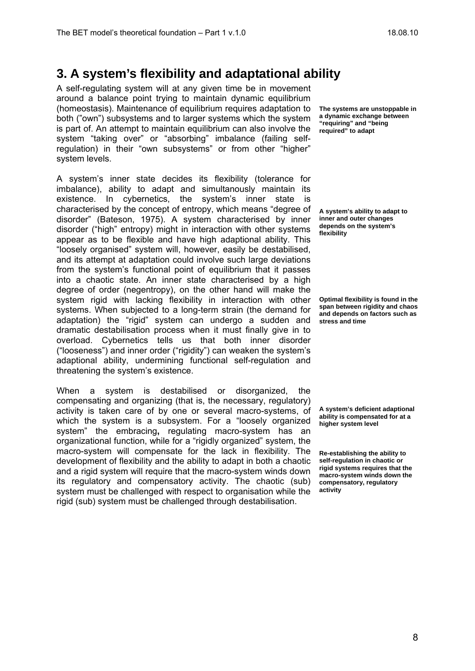### **3. A system's flexibility and adaptational ability**

A self-regulating system will at any given time be in movement around a balance point trying to maintain dynamic equilibrium (homeostasis). Maintenance of equilibrium requires adaptation to both ("own") subsystems and to larger systems which the system is part of. An attempt to maintain equilibrium can also involve the system "taking over" or "absorbing" imbalance (failing selfregulation) in their "own subsystems" or from other "higher" system levels.

A system's inner state decides its flexibility (tolerance for imbalance), ability to adapt and simultanously maintain its existence. In cybernetics, the system's inner state is characterised by the concept of entropy, which means "degree of disorder" (Bateson, 1975). A system characterised by inner disorder ("high" entropy) might in interaction with other systems appear as to be flexible and have high adaptional ability. This "loosely organised" system will, however, easily be destabilised, and its attempt at adaptation could involve such large deviations from the system's functional point of equilibrium that it passes into a chaotic state. An inner state characterised by a high degree of order (negentropy), on the other hand will make the system rigid with lacking flexibility in interaction with other systems. When subjected to a long-term strain (the demand for adaptation) the "rigid" system can undergo a sudden and dramatic destabilisation process when it must finally give in to overload. Cybernetics tells us that both inner disorder ("looseness") and inner order ("rigidity") can weaken the system's adaptional ability, undermining functional self-regulation and threatening the system's existence.

When a system is destabilised or disorganized, the compensating and organizing (that is, the necessary, regulatory) activity is taken care of by one or several macro-systems, of which the system is a subsystem. For a "loosely organized system" the embracing**,** regulating macro-system has an organizational function, while for a "rigidly organized" system, the macro-system will compensate for the lack in flexibility. The development of flexibility and the ability to adapt in both a chaotic and a rigid system will require that the macro-system winds down its regulatory and compensatory activity. The chaotic (sub) system must be challenged with respect to organisation while the rigid (sub) system must be challenged through destabilisation.

**The systems are unstoppable in a dynamic exchange between "requiring" and "being required" to adapt** 

**A system's ability to adapt to inner and outer changes depends on the system's flexibility** 

**Optimal flexibility is found in the span between rigidity and chaos and depends on factors such as stress and time** 

**A system's deficient adaptional ability is compensated for at a higher system level** 

**Re-establishing the ability to self-regulation in chaotic or rigid systems requires that the macro-system winds down the compensatory, regulatory activity**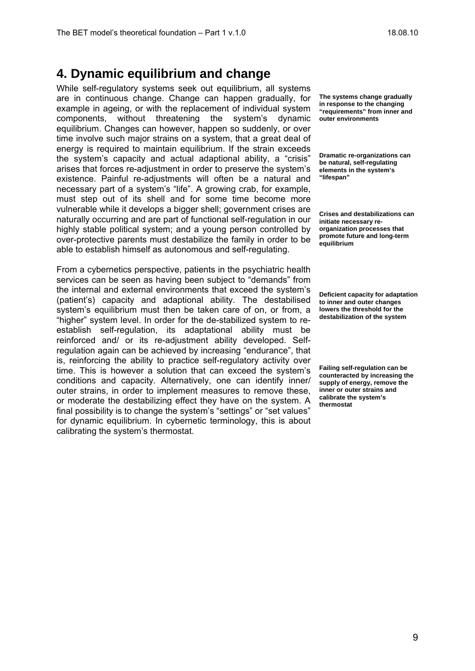#### **4. Dynamic equilibrium and change**

While self-regulatory systems seek out equilibrium, all systems are in continuous change. Change can happen gradually, for example in ageing, or with the replacement of individual system components, without threatening the system's dynamic equilibrium. Changes can however, happen so suddenly, or over time involve such major strains on a system, that a great deal of energy is required to maintain equilibrium. If the strain exceeds the system's capacity and actual adaptional ability, a "crisis" arises that forces re-adjustment in order to preserve the system's existence. Painful re-adjustments will often be a natural and necessary part of a system's "life". A growing crab, for example, must step out of its shell and for some time become more vulnerable while it develops a bigger shell; government crises are naturally occurring and are part of functional self-regulation in our highly stable political system; and a young person controlled by over-protective parents must destabilize the family in order to be able to establish himself as autonomous and self-regulating.

From a cybernetics perspective, patients in the psychiatric health services can be seen as having been subject to "demands" from the internal and external environments that exceed the system's (patient's) capacity and adaptional ability. The destabilised system's equilibrium must then be taken care of on, or from, a "higher" system level. In order for the de-stabilized system to reestablish self-regulation, its adaptational ability must be reinforced and/ or its re-adjustment ability developed. Selfregulation again can be achieved by increasing "endurance", that is, reinforcing the ability to practice self-regulatory activity over time. This is however a solution that can exceed the system's conditions and capacity. Alternatively, one can identify inner/ outer strains, in order to implement measures to remove these, or moderate the destabilizing effect they have on the system. A final possibility is to change the system's "settings" or "set values" for dynamic equilibrium. In cybernetic terminology, this is about calibrating the system's thermostat.

**The systems change gradually in response to the changing "requirements" from inner and outer environments** 

**Dramatic re-organizations can be natural, self-regulating elements in the system's "lifespan"** 

**Crises and destabilizations can initiate necessary reorganization processes that promote future and long-term equilibrium** 

**Deficient capacity for adaptation to inner and outer changes lowers the threshold for the destabilization of the system** 

**Failing self-regulation can be counteracted by increasing the supply of energy, remove the inner or outer strains and calibrate the system's thermostat**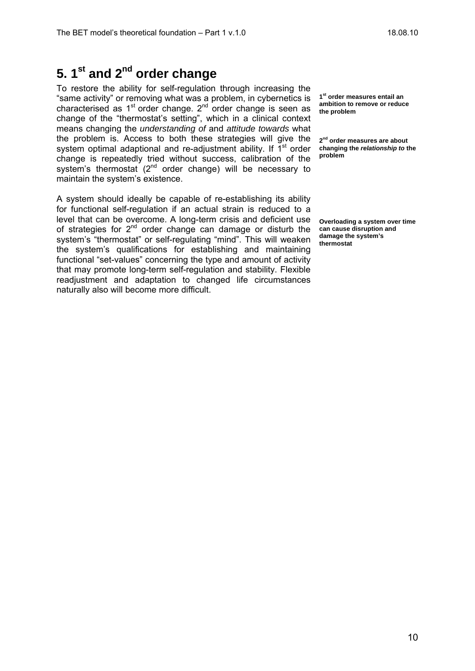To restore the ability for self-regulation through increasing the "same activity" or removing what was a problem, in cybernetics is characterised as  $1<sup>st</sup>$  order change.  $2<sup>nd</sup>$  order change is seen as change of the "thermostat's setting", which in a clinical context means changing the *understanding of* and *attitude towards* what the problem is. Access to both these strategies will give the system optimal adaptional and re-adjustment ability. If  $1<sup>st</sup>$  order change is repeatedly tried without success, calibration of the system's thermostat  $(2^{nd}$  order change) will be necessary to maintain the system's existence.

A system should ideally be capable of re-establishing its ability for functional self-regulation if an actual strain is reduced to a level that can be overcome. A long-term crisis and deficient use of strategies for  $2^{nd}$  order change can damage or disturb the system's "thermostat" or self-regulating "mind". This will weaken the system's qualifications for establishing and maintaining functional "set-values" concerning the type and amount of activity that may promote long-term self-regulation and stability. Flexible readjustment and adaptation to changed life circumstances naturally also will become more difficult.

**1st order measures entail an ambition to remove or reduce the problem** 

**2nd order measures are about changing the** *relationship to* **the problem** 

**Overloading a system over time can cause disruption and damage the system's thermostat**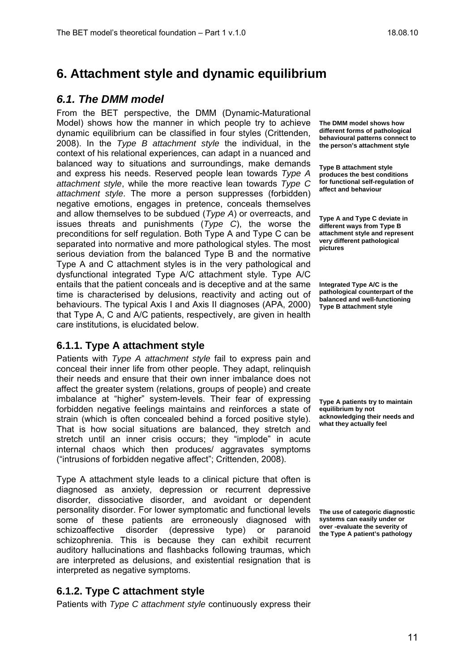## **6. Attachment style and dynamic equilibrium**

#### *6.1. The DMM model*

From the BET perspective, the DMM (Dynamic-Maturational Model) shows how the manner in which people try to achieve dynamic equilibrium can be classified in four styles (Crittenden, 2008). In the *Type B attachment style* the individual, in the context of his relational experiences, can adapt in a nuanced and balanced way to situations and surroundings, make demands and express his needs. Reserved people lean towards *Type A attachment style*, while the more reactive lean towards *Type C attachment style*. The more a person suppresses (forbidden) negative emotions, engages in pretence, conceals themselves and allow themselves to be subdued (*Type A*) or overreacts, and issues threats and punishments (*Type C*), the worse the preconditions for self regulation. Both Type A and Type C can be separated into normative and more pathological styles. The most serious deviation from the balanced Type B and the normative Type A and C attachment styles is in the very pathological and dysfunctional integrated Type A/C attachment style. Type A/C entails that the patient conceals and is deceptive and at the same time is characterised by delusions, reactivity and acting out of behaviours. The typical Axis I and Axis II diagnoses (APA, 2000) that Type A, C and A/C patients, respectively, are given in health care institutions, is elucidated below.

#### **6.1.1. Type A attachment style**

Patients with *Type A attachment style* fail to express pain and conceal their inner life from other people. They adapt, relinquish their needs and ensure that their own inner imbalance does not affect the greater system (relations, groups of people) and create imbalance at "higher" system-levels. Their fear of expressing forbidden negative feelings maintains and reinforces a state of strain (which is often concealed behind a forced positive style). That is how social situations are balanced, they stretch and stretch until an inner crisis occurs; they "implode" in acute internal chaos which then produces/ aggravates symptoms ("intrusions of forbidden negative affect"; Crittenden, 2008).

Type A attachment style leads to a clinical picture that often is diagnosed as anxiety, depression or recurrent depressive disorder, dissociative disorder, and avoidant or dependent personality disorder. For lower symptomatic and functional levels some of these patients are erroneously diagnosed with schizoaffective disorder (depressive type) or paranoid schizophrenia. This is because they can exhibit recurrent auditory hallucinations and flashbacks following traumas, which are interpreted as delusions, and existential resignation that is interpreted as negative symptoms.

#### **6.1.2. Type C attachment style**

Patients with *Type C attachment style* continuously express their

**The DMM model shows how different forms of pathological behavioural patterns connect to the person's attachment style** 

**Type B attachment style produces the best conditions for functional self-regulation of affect and behaviour** 

**Type A and Type C deviate in different ways from Type B attachment style and represent very different pathological pictures** 

**Integrated Type A/C is the pathological counterpart of the balanced and well-functioning Type B attachment style** 

**Type A patients try to maintain equilibrium by not acknowledging their needs and what they actually feel** 

**The use of categoric diagnostic systems can easily under or over -evaluate the severity of the Type A patient's pathology**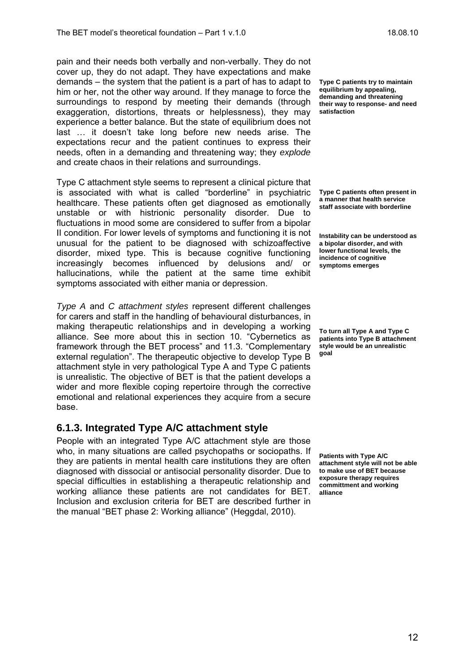pain and their needs both verbally and non-verbally. They do not cover up, they do not adapt. They have expectations and make demands – the system that the patient is a part of has to adapt to him or her, not the other way around. If they manage to force the surroundings to respond by meeting their demands (through exaggeration, distortions, threats or helplessness), they may experience a better balance. But the state of equilibrium does not last … it doesn't take long before new needs arise. The expectations recur and the patient continues to express their needs, often in a demanding and threatening way; they *explode* and create chaos in their relations and surroundings.

Type C attachment style seems to represent a clinical picture that is associated with what is called "borderline" in psychiatric healthcare. These patients often get diagnosed as emotionally unstable or with histrionic personality disorder. Due to fluctuations in mood some are considered to suffer from a bipolar II condition. For lower levels of symptoms and functioning it is not unusual for the patient to be diagnosed with schizoaffective disorder, mixed type. This is because cognitive functioning increasingly becomes influenced by delusions and/ or hallucinations, while the patient at the same time exhibit symptoms associated with either mania or depression.

*Type A* and *C attachment styles* represent different challenges for carers and staff in the handling of behavioural disturbances, in making therapeutic relationships and in developing a working alliance. See more about this in section 10. "Cybernetics as framework through the BET process" and 11.3. "Complementary external regulation". The therapeutic objective to develop Type B attachment style in very pathological Type A and Type C patients is unrealistic. The objective of BET is that the patient develops a wider and more flexible coping repertoire through the corrective emotional and relational experiences they acquire from a secure base.

#### **6.1.3. Integrated Type A/C attachment style**

People with an integrated Type A/C attachment style are those who, in many situations are called psychopaths or sociopaths. If they are patients in mental health care institutions they are often diagnosed with dissocial or antisocial personality disorder. Due to special difficulties in establishing a therapeutic relationship and working alliance these patients are not candidates for BET. Inclusion and exclusion criteria for BET are described further in the manual "BET phase 2: Working alliance" (Heggdal, 2010).

**Type C patients try to maintain equilibrium by appealing, demanding and threatening their way to response- and need satisfaction** 

**Type C patients often present in a manner that health service staff associate with borderline** 

**Instability can be understood as a bipolar disorder, and with lower functional levels, the incidence of cognitive symptoms emerges** 

**To turn all Type A and Type C patients into Type B attachment style would be an unrealistic goal** 

**Patients with Type A/C attachment style will not be able to make use of BET because exposure therapy requires committment and working alliance**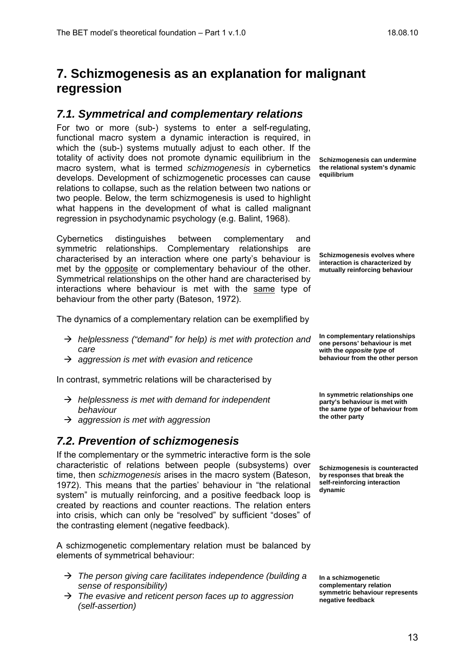### **7. Schizmogenesis as an explanation for malignant regression**

#### *7.1. Symmetrical and complementary relations*

For two or more (sub-) systems to enter a self-regulating, functional macro system a dynamic interaction is required, in which the (sub-) systems mutually adjust to each other. If the totality of activity does not promote dynamic equilibrium in the macro system, what is termed *schizmogenesis* in cybernetics develops. Development of schizmogenetic processes can cause relations to collapse, such as the relation between two nations or two people. Below, the term schizmogenesis is used to highlight what happens in the development of what is called malignant regression in psychodynamic psychology (e.g. Balint, 1968).

Cybernetics distinguishes between complementary and symmetric relationships. Complementary relationships are characterised by an interaction where one party's behaviour is met by the opposite or complementary behaviour of the other. Symmetrical relationships on the other hand are characterised by interactions where behaviour is met with the same type of behaviour from the other party (Bateson, 1972).

The dynamics of a complementary relation can be exemplified by

- Æ *helplessness ("demand" for help) is met with protection and care*
- Æ *aggression is met with evasion and reticence*

In contrast, symmetric relations will be characterised by

- Æ *helplessness is met with demand for independent behaviour*
- Æ *aggression is met with aggression*

#### *7.2. Prevention of schizmogenesis*

If the complementary or the symmetric interactive form is the sole characteristic of relations between people (subsystems) over time, then *schizmogenesis* arises in the macro system (Bateson, 1972). This means that the parties' behaviour in "the relational system" is mutually reinforcing, and a positive feedback loop is created by reactions and counter reactions. The relation enters into crisis, which can only be "resolved" by sufficient "doses" of the contrasting element (negative feedback).

A schizmogenetic complementary relation must be balanced by elements of symmetrical behaviour:

- Æ *The person giving care facilitates independence (building a sense of responsibility)*
- → The evasive and reticent person faces up to aggression *(self-assertion)*

**Schizmogenesis can undermine the relational system's dynamic equilibrium** 

**Schizmogenesis evolves where interaction is characterized by mutually reinforcing behaviour** 

**In complementary relationships one persons' behaviour is met with the** *opposite type* **of behaviour from the other person** 

**In symmetric relationships one party's behaviour is met with the** *same type* **of behaviour from the other party** 

**Schizmogenesis is counteracted by responses that break the self-reinforcing interaction dynamic** 

**In a schizmogenetic complementary relation symmetric behaviour represents negative feedback**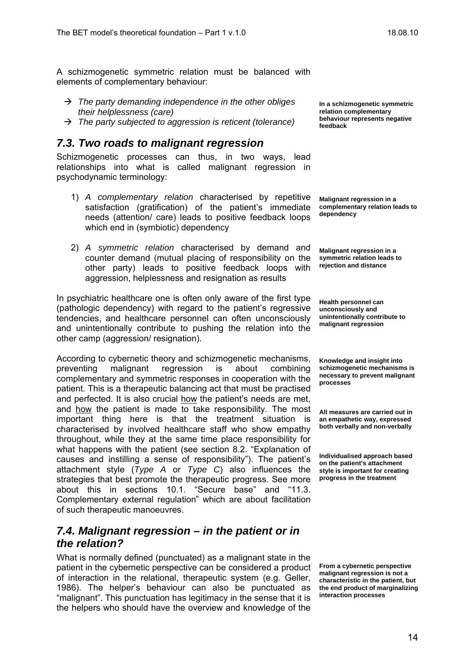A schizmogenetic symmetric relation must be balanced with elements of complementary behaviour:

- → The party demanding independence in the other obliges *their helplessness (care)*
- → The party subjected to aggression is reticent (tolerance)

#### *7.3. Two roads to malignant regression*

Schizmogenetic processes can thus, in two ways, lead relationships into what is called malignant regression in psychodynamic terminology:

- 1) *A complementary relation* characterised by repetitive satisfaction (gratification) of the patient's immediate needs (attention/ care) leads to positive feedback loops which end in (symbiotic) dependency
- 2) *A symmetric relation* characterised by demand and counter demand (mutual placing of responsibility on the other party) leads to positive feedback loops with aggression, helplessness and resignation as results

In psychiatric healthcare one is often only aware of the first type (pathologic dependency) with regard to the patient's regressive tendencies, and healthcare personnel can often unconsciously and unintentionally contribute to pushing the relation into the other camp (aggression/ resignation).

According to cybernetic theory and schizmogenetic mechanisms, preventing malignant regression is about combining complementary and symmetric responses in cooperation with the patient. This is a therapeutic balancing act that must be practised and perfected. It is also crucial how the patient's needs are met, and how the patient is made to take responsibility. The most important thing here is that the treatment situation is characterised by involved healthcare staff who show empathy throughout, while they at the same time place responsibility for what happens with the patient (see section 8.2. "Explanation of causes and instilling a sense of responsibility"). The patient's attachment style (*Type A* or *Type C*) also influences the strategies that best promote the therapeutic progress. See more about this in sections 10.1. "Secure base" and "11.3. Complementary external regulation" which are about facilitation of such therapeutic manoeuvres.

#### *7.4. Malignant regression – in the patient or in the relation?*

What is normally defined (punctuated) as a malignant state in the patient in the cybernetic perspective can be considered a product of interaction in the relational, therapeutic system (e.g. Geller, 1986). The helper's behaviour can also be punctuated as "malignant". This punctuation has legitimacy in the sense that it is the helpers who should have the overview and knowledge of the

**In a schizmogenetic symmetric relation complementary behaviour represents negative feedback** 

**Malignant regression in a complementary relation leads to dependency** 

**Malignant regression in a symmetric relation leads to rejection and distance** 

**Health personnel can unconsciously and unintentionally contribute to malignant regression** 

**Knowledge and insight into schizmogenetic mechanisms is necessary to prevent malignant processes** 

**All measures are carried out in an empathetic way, expressed both verbally and non-verbally** 

**Individualised approach based on the patient's attachment style is important for creating progress in the treatment** 

**From a cybernetic perspective malignant regression is not a characteristic in the patient, but the end product of marginalizing interaction processes**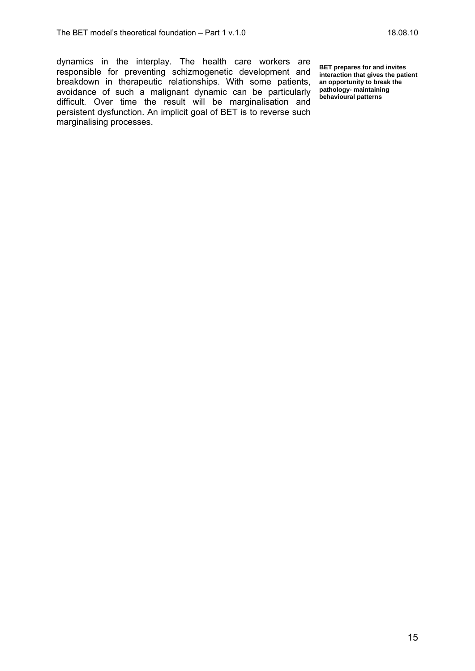dynamics in the interplay. The health care workers are responsible for preventing schizmogenetic development and breakdown in therapeutic relationships. With some patients, avoidance of such a malignant dynamic can be particularly difficult. Over time the result will be marginalisation and persistent dysfunction. An implicit goal of BET is to reverse such marginalising processes.

**BET prepares for and invites interaction that gives the patient an opportunity to break the pathology- maintaining behavioural patterns**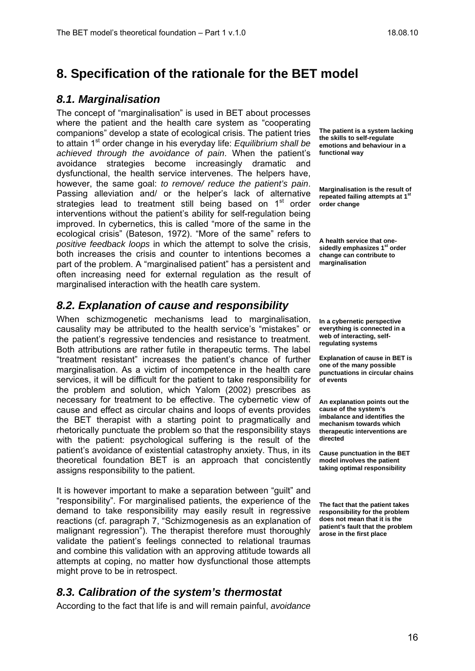## **8. Specification of the rationale for the BET model**

#### *8.1. Marginalisation*

The concept of "marginalisation" is used in BET about processes where the patient and the health care system as "cooperating companions" develop a state of ecological crisis. The patient tries to attain 1st order change in his everyday life: *Equilibrium shall be achieved through the avoidance of pain*. When the patient's avoidance strategies become increasingly dramatic and dysfunctional, the health service intervenes. The helpers have, however, the same goal: *to remove/ reduce the patient's pain*. Passing alleviation and/ or the helper's lack of alternative strategies lead to treatment still being based on 1<sup>st</sup> order interventions without the patient's ability for self-regulation being improved. In cybernetics, this is called "more of the same in the ecological crisis" (Bateson, 1972). "More of the same" refers to *positive feedback loops* in which the attempt to solve the crisis, both increases the crisis and counter to intentions becomes a part of the problem. A "marginalised patient" has a persistent and often increasing need for external regulation as the result of marginalised interaction with the heatlh care system.

#### *8.2. Explanation of cause and responsibility*

When schizmogenetic mechanisms lead to marginalisation, causality may be attributed to the health service's "mistakes" or the patient's regressive tendencies and resistance to treatment. Both attributions are rather futile in therapeutic terms. The label "treatment resistant" increases the patient's chance of further marginalisation. As a victim of incompetence in the health care services, it will be difficult for the patient to take responsibility for the problem and solution, which Yalom (2002) prescribes as necessary for treatment to be effective. The cybernetic view of cause and effect as circular chains and loops of events provides the BET therapist with a starting point to pragmatically and rhetorically punctuate the problem so that the responsibility stays with the patient: psychological suffering is the result of the patient's avoidance of existential catastrophy anxiety. Thus, in its theoretical foundation BET is an approach that concistently assigns responsibility to the patient.

It is however important to make a separation between "guilt" and "responsibility". For marginalised patients, the experience of the demand to take responsibility may easily result in regressive reactions (cf. paragraph 7, "Schizmogenesis as an explanation of malignant regression"). The therapist therefore must thoroughly validate the patient's feelings connected to relational traumas and combine this validation with an approving attitude towards all attempts at coping, no matter how dysfunctional those attempts might prove to be in retrospect.

#### *8.3. Calibration of the system's thermostat*

According to the fact that life is and will remain painful, *avoidance* 

**The patient is a system lacking the skills to self-regulate emotions and behaviour in a functional way** 

**Marginalisation is the result of repeated failing attempts at 1<sup>st</sup> order change** 

**A health service that onesidedly emphasizes 1st order change can contribute to marginalisation** 

**In a cybernetic perspective everything is connected in a web of interacting, selfregulating systems** 

**Explanation of cause in BET is one of the many possible punctuations in circular chains of events** 

**An explanation points out the cause of the system's imbalance and identifies the mechanism towards which therapeutic interventions are directed** 

**Cause punctuation in the BET model involves the patient taking optimal responsibility** 

**The fact that the patient takes responsibility for the problem does not mean that it is the patient's fault that the problem arose in the first place**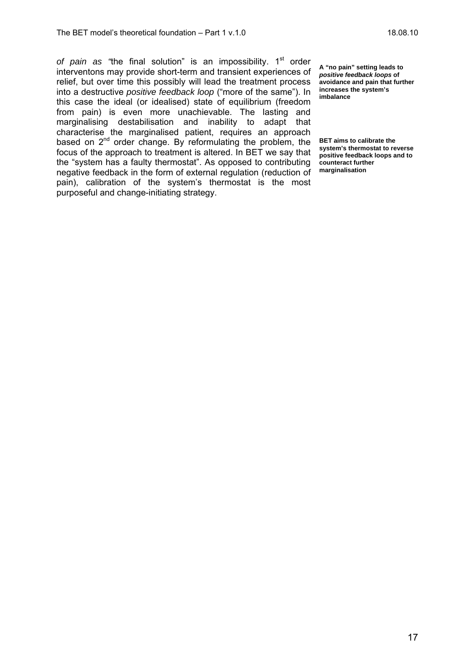of pain as "the final solution" is an impossibility. 1<sup>st</sup> order interventons may provide short-term and transient experiences of relief, but over time this possibly will lead the treatment process into a destructive *positive feedback loop* ("more of the same"). In this case the ideal (or idealised) state of equilibrium (freedom from pain) is even more unachievable. The lasting and marginalising destabilisation and inability to adapt that characterise the marginalised patient, requires an approach based on  $2^{nd}$  order change. By reformulating the problem, the focus of the approach to treatment is altered. In BET we say that the "system has a faulty thermostat". As opposed to contributing negative feedback in the form of external regulation (reduction of pain), calibration of the system's thermostat is the most purposeful and change-initiating strategy.

**A "no pain" setting leads to**  *positive feedback loops* **of avoidance and pain that further increases the system's imbalance** 

**BET aims to calibrate the system's thermostat to reverse positive feedback loops and to counteract further marginalisation**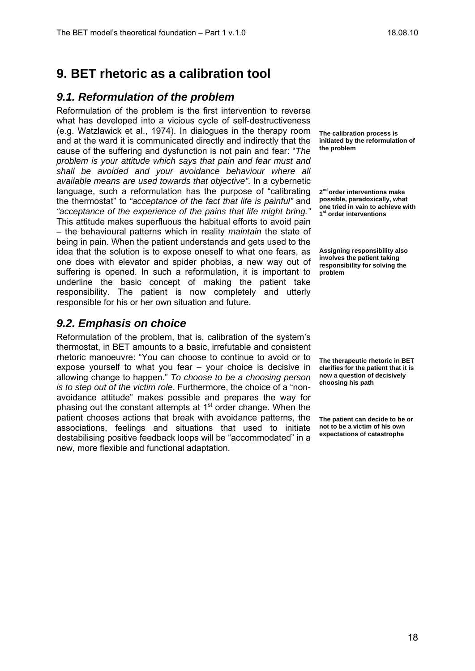## **9. BET rhetoric as a calibration tool**

#### *9.1. Reformulation of the problem*

Reformulation of the problem is the first intervention to reverse what has developed into a vicious cycle of self-destructiveness (e.g. Watzlawick et al., 1974). In dialogues in the therapy room and at the ward it is communicated directly and indirectly that the cause of the suffering and dysfunction is not pain and fear: "*The problem is your attitude which says that pain and fear must and shall be avoided and your avoidance behaviour where all available means are used towards that objective"*. In a cybernetic language, such a reformulation has the purpose of "calibrating the thermostat" to *"acceptance of the fact that life is painful"* and *"acceptance of the experience of the pains that life might bring."* This attitude makes superfluous the habitual efforts to avoid pain – the behavioural patterns which in reality *maintain* the state of being in pain. When the patient understands and gets used to the idea that the solution is to expose oneself to what one fears, as one does with elevator and spider phobias, a new way out of suffering is opened. In such a reformulation, it is important to underline the basic concept of making the patient take responsibility. The patient is now completely and utterly responsible for his or her own situation and future.

#### *9.2. Emphasis on choice*

Reformulation of the problem, that is, calibration of the system's thermostat, in BET amounts to a basic, irrefutable and consistent rhetoric manoeuvre: "You can choose to continue to avoid or to expose yourself to what you fear – your choice is decisive in allowing change to happen." *To choose to be a choosing person is to step out of the victim role*. Furthermore, the choice of a "nonavoidance attitude" makes possible and prepares the way for phasing out the constant attempts at  $1<sup>st</sup>$  order change. When the patient chooses actions that break with avoidance patterns, the associations, feelings and situations that used to initiate destabilising positive feedback loops will be "accommodated" in a new, more flexible and functional adaptation.

**The calibration process is initiated by the reformulation of the problem** 

**2nd order interventions make possible, paradoxically, what one tried in vain to achieve with 1st order interventions** 

**Assigning responsibility also involves the patient taking responsibility for solving the problem** 

**The therapeutic rhetoric in BET clarifies for the patient that it is now a question of decisively choosing his path** 

**The patient can decide to be or not to be a victim of his own expectations of catastrophe**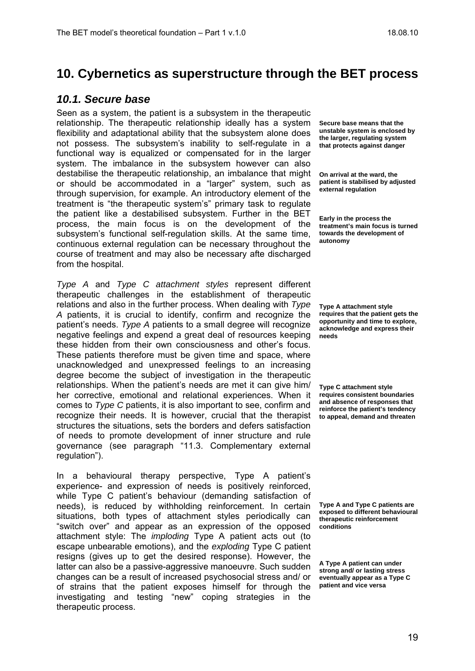## **10. Cybernetics as superstructure through the BET process**

#### *10.1. Secure base*

Seen as a system, the patient is a subsystem in the therapeutic relationship. The therapeutic relationship ideally has a system flexibility and adaptational ability that the subsystem alone does not possess. The subsystem's inability to self-regulate in a functional way is equalized or compensated for in the larger system. The imbalance in the subsystem however can also destabilise the therapeutic relationship, an imbalance that might or should be accommodated in a "larger" system, such as through supervision, for example. An introductory element of the treatment is "the therapeutic system's" primary task to regulate the patient like a destabilised subsystem. Further in the BET process, the main focus is on the development of the subsystem's functional self-regulation skills. At the same time, continuous external regulation can be necessary throughout the course of treatment and may also be necessary afte discharged from the hospital.

*Type A* and *Type C attachment styles* represent different therapeutic challenges in the establishment of therapeutic relations and also in the further process. When dealing with *Type A* patients, it is crucial to identify, confirm and recognize the patient's needs. *Type A* patients to a small degree will recognize negative feelings and expend a great deal of resources keeping these hidden from their own consciousness and other's focus. These patients therefore must be given time and space, where unacknowledged and unexpressed feelings to an increasing degree become the subject of investigation in the therapeutic relationships. When the patient's needs are met it can give him/ her corrective, emotional and relational experiences. When it comes to *Type C* patients, it is also important to see, confirm and recognize their needs. It is however, crucial that the therapist structures the situations, sets the borders and defers satisfaction of needs to promote development of inner structure and rule governance (see paragraph "11.3. Complementary external regulation").

In a behavioural therapy perspective, Type A patient's experience- and expression of needs is positively reinforced, while Type C patient's behaviour (demanding satisfaction of needs), is reduced by withholding reinforcement. In certain situations, both types of attachment styles periodically can "switch over" and appear as an expression of the opposed attachment style: The *imploding* Type A patient acts out (to escape unbearable emotions), and the *exploding* Type C patient resigns (gives up to get the desired response). However, the latter can also be a passive-aggressive manoeuvre. Such sudden changes can be a result of increased psychosocial stress and/ or of strains that the patient exposes himself for through the investigating and testing "new" coping strategies in the therapeutic process.

**Secure base means that the unstable system is enclosed by the larger, regulating system that protects against danger** 

**On arrival at the ward, the patient is stabilised by adjusted external regulation** 

**Early in the process the treatment's main focus is turned towards the development of autonomy** 

**Type A attachment style requires that the patient gets the opportunity and time to explore, acknowledge and express their needs** 

**Type C attachment style requires consistent boundaries and absence of responses that reinforce the patient's tendency to appeal, demand and threaten** 

**Type A and Type C patients are exposed to different behavioural therapeutic reinforcement conditions** 

**A Type A patient can under strong and/ or lasting stress eventually appear as a Type C patient and vice versa**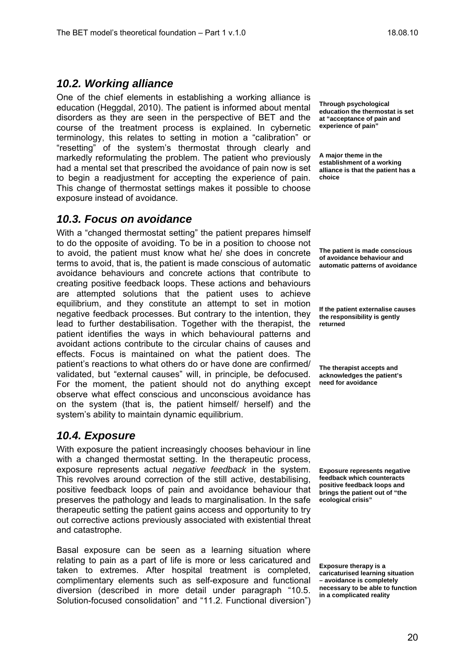#### *10.2. Working alliance*

One of the chief elements in establishing a working alliance is education (Heggdal, 2010). The patient is informed about mental disorders as they are seen in the perspective of BET and the course of the treatment process is explained. In cybernetic terminology, this relates to setting in motion a "calibration" or "resetting" of the system's thermostat through clearly and markedly reformulating the problem. The patient who previously had a mental set that prescribed the avoidance of pain now is set to begin a readjustment for accepting the experience of pain. This change of thermostat settings makes it possible to choose exposure instead of avoidance.

#### *10.3. Focus on avoidance*

With a "changed thermostat setting" the patient prepares himself to do the opposite of avoiding. To be in a position to choose not to avoid, the patient must know what he/ she does in concrete terms to avoid, that is, the patient is made conscious of automatic avoidance behaviours and concrete actions that contribute to creating positive feedback loops. These actions and behaviours are attempted solutions that the patient uses to achieve equilibrium, and they constitute an attempt to set in motion negative feedback processes. But contrary to the intention, they lead to further destabilisation. Together with the therapist, the patient identifies the ways in which behavioural patterns and avoidant actions contribute to the circular chains of causes and effects. Focus is maintained on what the patient does. The patient's reactions to what others do or have done are confirmed/ validated, but "external causes" will, in principle, be defocused. For the moment, the patient should not do anything except observe what effect conscious and unconscious avoidance has on the system (that is, the patient himself/ herself) and the system's ability to maintain dynamic equilibrium.

#### *10.4. Exposure*

With exposure the patient increasingly chooses behaviour in line with a changed thermostat setting. In the therapeutic process, exposure represents actual *negative feedback* in the system. This revolves around correction of the still active, destabilising, positive feedback loops of pain and avoidance behaviour that preserves the pathology and leads to marginalisation. In the safe therapeutic setting the patient gains access and opportunity to try out corrective actions previously associated with existential threat and catastrophe.

Basal exposure can be seen as a learning situation where relating to pain as a part of life is more or less caricatured and taken to extremes. After hospital treatment is completed, complimentary elements such as self-exposure and functional diversion (described in more detail under paragraph "10.5. Solution-focused consolidation" and "11.2. Functional diversion")

**Through psychological education the thermostat is set at "acceptance of pain and experience of pain"** 

**A major theme in the establishment of a working alliance is that the patient has a choice** 

**The patient is made conscious of avoidance behaviour and automatic patterns of avoidance** 

**If the patient externalise causes the responsibility is gently returned** 

**The therapist accepts and acknowledges the patient's need for avoidance** 

**Exposure represents negative feedback which counteracts positive feedback loops and brings the patient out of "the ecological crisis"** 

**Exposure therapy is a caricaturised learning situation – avoidance is completely necessary to be able to function in a complicated reality**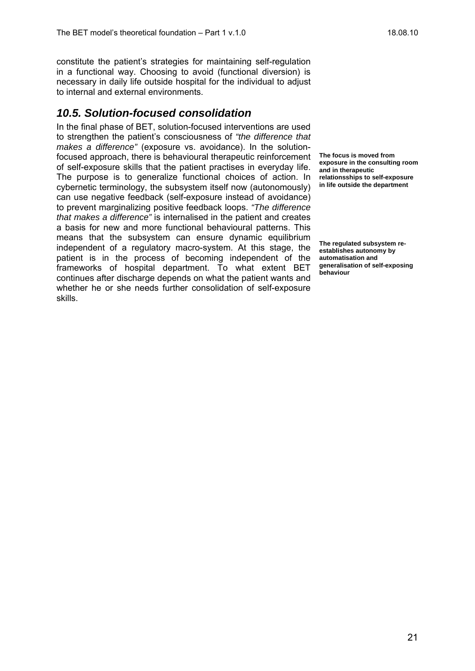constitute the patient's strategies for maintaining self-regulation in a functional way. Choosing to avoid (functional diversion) is necessary in daily life outside hospital for the individual to adjust to internal and external environments.

#### *10.5. Solution-focused consolidation*

In the final phase of BET, solution-focused interventions are used to strengthen the patient's consciousness of *"the difference that makes a difference"* (exposure vs. avoidance). In the solutionfocused approach, there is behavioural therapeutic reinforcement of self-exposure skills that the patient practises in everyday life. The purpose is to generalize functional choices of action. In cybernetic terminology, the subsystem itself now (autonomously) can use negative feedback (self-exposure instead of avoidance) to prevent marginalizing positive feedback loops. *"The difference that makes a difference"* is internalised in the patient and creates a basis for new and more functional behavioural patterns. This means that the subsystem can ensure dynamic equilibrium independent of a regulatory macro-system. At this stage, the patient is in the process of becoming independent of the frameworks of hospital department. To what extent BET continues after discharge depends on what the patient wants and whether he or she needs further consolidation of self-exposure skills.

**The focus is moved from exposure in the consulting room and in therapeutic relationsships to self-exposure in life outside the department** 

**The regulated subsystem reestablishes autonomy by automatisation and generalisation of self-exposing behaviour**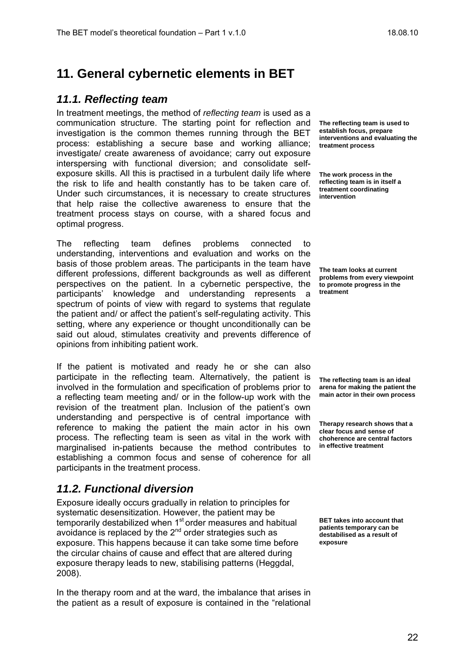## **11. General cybernetic elements in BET**

#### *11.1. Reflecting team*

In treatment meetings, the method of *reflecting team* is used as a communication structure. The starting point for reflection and investigation is the common themes running through the BET process: establishing a secure base and working alliance; investigate/ create awareness of avoidance; carry out exposure interspersing with functional diversion; and consolidate selfexposure skills. All this is practised in a turbulent daily life where the risk to life and health constantly has to be taken care of. Under such circumstances, it is necessary to create structures that help raise the collective awareness to ensure that the treatment process stays on course, with a shared focus and optimal progress.

The reflecting team defines problems connected to understanding, interventions and evaluation and works on the basis of those problem areas. The participants in the team have different professions, different backgrounds as well as different perspectives on the patient. In a cybernetic perspective, the participants' knowledge and understanding represents a spectrum of points of view with regard to systems that regulate the patient and/ or affect the patient's self-regulating activity. This setting, where any experience or thought unconditionally can be said out aloud, stimulates creativity and prevents difference of opinions from inhibiting patient work.

If the patient is motivated and ready he or she can also participate in the reflecting team. Alternatively, the patient is involved in the formulation and specification of problems prior to a reflecting team meeting and/ or in the follow-up work with the revision of the treatment plan. Inclusion of the patient's own understanding and perspective is of central importance with reference to making the patient the main actor in his own process. The reflecting team is seen as vital in the work with marginalised in-patients because the method contributes to establishing a common focus and sense of coherence for all participants in the treatment process.

#### *11.2. Functional diversion*

Exposure ideally occurs gradually in relation to principles for systematic desensitization. However, the patient may be temporarily destabilized when 1<sup>st</sup> order measures and habitual avoidance is replaced by the  $2^{nd}$  order strategies such as exposure. This happens because it can take some time before the circular chains of cause and effect that are altered during exposure therapy leads to new, stabilising patterns (Heggdal, 2008).

In the therapy room and at the ward, the imbalance that arises in the patient as a result of exposure is contained in the "relational

**The reflecting team is used to establish focus, prepare interventions and evaluating the treatment process** 

**The work process in the reflecting team is in itself a treatment coordinating intervention** 

**The team looks at current problems from every viewpoint to promote progress in the treatment** 

**The reflecting team is an ideal arena for making the patient the main actor in their own process** 

**Therapy research shows that a clear focus and sense of choherence are central factors in effective treatment** 

**BET takes into account that patients temporary can be destabilised as a result of exposure**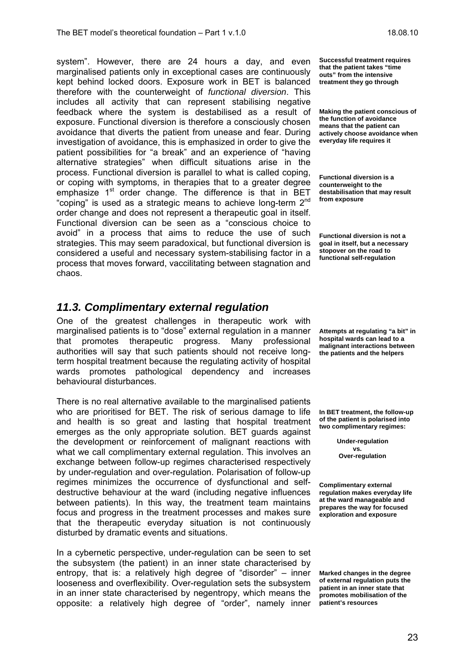system". However, there are 24 hours a day, and even marginalised patients only in exceptional cases are continuously kept behind locked doors. Exposure work in BET is balanced therefore with the counterweight of *functional diversion*. This includes all activity that can represent stabilising negative feedback where the system is destabilised as a result of exposure. Functional diversion is therefore a consciously chosen avoidance that diverts the patient from unease and fear. During investigation of avoidance, this is emphasized in order to give the patient possibilities for "a break" and an experience of "having alternative strategies" when difficult situations arise in the process. Functional diversion is parallel to what is called coping, or coping with symptoms, in therapies that to a greater degree emphasize 1<sup>st</sup> order change. The difference is that in BET "coping" is used as a strategic means to achieve long-term  $2^{nd}$ order change and does not represent a therapeutic goal in itself. Functional diversion can be seen as a "conscious choice to avoid" in a process that aims to reduce the use of such strategies. This may seem paradoxical, but functional diversion is considered a useful and necessary system-stabilising factor in a process that moves forward, vaccilitating between stagnation and chaos.

#### *11.3. Complimentary external regulation*

One of the greatest challenges in therapeutic work with marginalised patients is to "dose" external regulation in a manner that promotes therapeutic progress. Many professional authorities will say that such patients should not receive longterm hospital treatment because the regulating activity of hospital wards promotes pathological dependency and increases behavioural disturbances.

There is no real alternative available to the marginalised patients who are prioritised for BET. The risk of serious damage to life and health is so great and lasting that hospital treatment emerges as the only appropriate solution. BET guards against the development or reinforcement of malignant reactions with what we call complimentary external regulation. This involves an exchange between follow-up regimes characterised respectively by under-regulation and over-regulation. Polarisation of follow-up regimes minimizes the occurrence of dysfunctional and selfdestructive behaviour at the ward (including negative influences between patients). In this way, the treatment team maintains focus and progress in the treatment processes and makes sure that the therapeutic everyday situation is not continuously disturbed by dramatic events and situations.

In a cybernetic perspective, under-regulation can be seen to set the subsystem (the patient) in an inner state characterised by entropy, that is: a relatively high degree of "disorder" – inner looseness and overflexibility. Over-regulation sets the subsystem in an inner state characterised by negentropy, which means the opposite: a relatively high degree of "order", namely inner

**Successful treatment requires that the patient takes "time outs" from the intensive treatment they go through** 

**Making the patient conscious of the function of avoidance means that the patient can actively choose avoidance when everyday life requires it** 

**Functional diversion is a counterweight to the destabilisation that may result from exposure** 

**Functional diversion is not a goal in itself, but a necessary stopover on the road to functional self-regulation** 

**Attempts at regulating "a bit" in hospital wards can lead to a malignant interactions between the patients and the helpers** 

**In BET treatment, the follow-up of the patient is polarised into two complimentary regimes:** 

> **Under-regulation vs. Over-regulation**

**Complimentary external regulation makes everyday life at the ward manageable and prepares the way for focused exploration and exposure** 

**Marked changes in the degree of external regulation puts the patient in an inner state that promotes mobilisation of the patient's resources**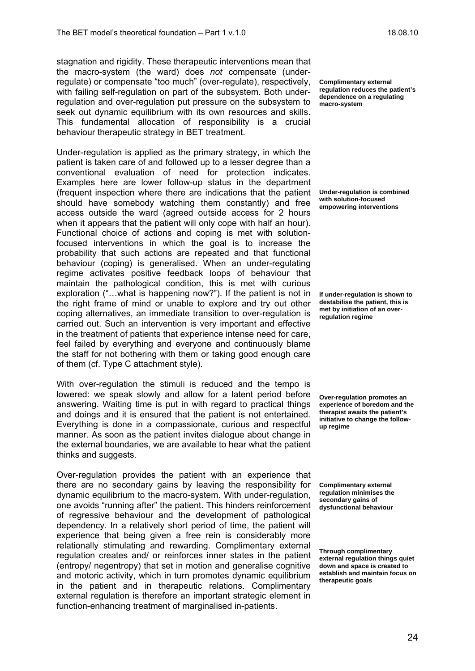stagnation and rigidity. These therapeutic interventions mean that the macro-system (the ward) does *not* compensate (underregulate) or compensate "too much" (over-regulate), respectively, with failing self-regulation on part of the subsystem. Both underregulation and over-regulation put pressure on the subsystem to seek out dynamic equilibrium with its own resources and skills. This fundamental allocation of responsibility is a crucial behaviour therapeutic strategy in BET treatment.

Under-regulation is applied as the primary strategy, in which the patient is taken care of and followed up to a lesser degree than a conventional evaluation of need for protection indicates. Examples here are lower follow-up status in the department (frequent inspection where there are indications that the patient should have somebody watching them constantly) and free access outside the ward (agreed outside access for 2 hours when it appears that the patient will only cope with half an hour). Functional choice of actions and coping is met with solutionfocused interventions in which the goal is to increase the probability that such actions are repeated and that functional behaviour (coping) is generalised. When an under-regulating regime activates positive feedback loops of behaviour that maintain the pathological condition, this is met with curious exploration ("…what is happening now?"). If the patient is not in the right frame of mind or unable to explore and try out other coping alternatives, an immediate transition to over-regulation is carried out. Such an intervention is very important and effective in the treatment of patients that experience intense need for care, feel failed by everything and everyone and continuously blame the staff for not bothering with them or taking good enough care of them (cf. Type C attachment style).

With over-regulation the stimuli is reduced and the tempo is lowered: we speak slowly and allow for a latent period before answering. Waiting time is put in with regard to practical things and doings and it is ensured that the patient is not entertained. Everything is done in a compassionate, curious and respectful manner. As soon as the patient invites dialogue about change in the external boundaries, we are available to hear what the patient thinks and suggests.

Over-regulation provides the patient with an experience that there are no secondary gains by leaving the responsibility for dynamic equilibrium to the macro-system. With under-regulation, one avoids "running after" the patient. This hinders reinforcement of regressive behaviour and the development of pathological dependency. In a relatively short period of time, the patient will experience that being given a free rein is considerably more relationally stimulating and rewarding. Complimentary external regulation creates and/ or reinforces inner states in the patient (entropy/ negentropy) that set in motion and generalise cognitive and motoric activity, which in turn promotes dynamic equilibrium in the patient and in therapeutic relations. Complimentary external regulation is therefore an important strategic element in function-enhancing treatment of marginalised in-patients.

**Complimentary external regulation reduces the patient's dependence on a regulating macro-system** 

**Under-regulation is combined with solution-focused empowering interventions** 

**If under-regulation is shown to destabilise the patient, this is met by initiation of an overregulation regime** 

**Over-regulation promotes an experience of boredom and the therapist awaits the patient's initiative to change the followup regime** 

**Complimentary external regulation minimises the secondary gains of dysfunctional behaviour** 

**Through complimentary external regulation things quiet down and space is created to establish and maintain focus on therapeutic goals**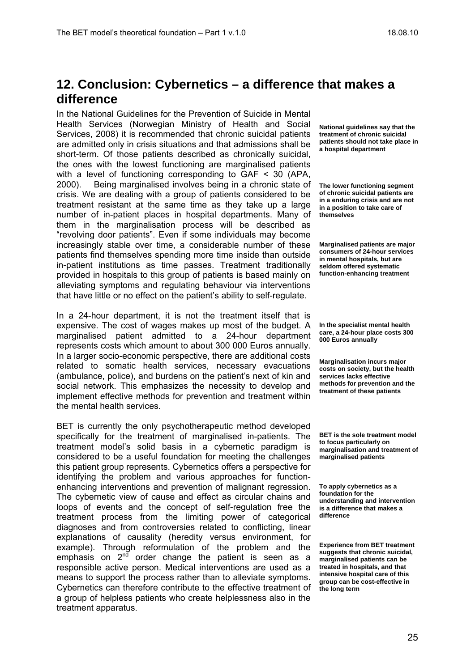### **12. Conclusion: Cybernetics – a difference that makes a difference**

In the National Guidelines for the Prevention of Suicide in Mental Health Services (Norwegian Ministry of Health and Social Services, 2008) it is recommended that chronic suicidal patients are admitted only in crisis situations and that admissions shall be short-term. Of those patients described as chronically suicidal, the ones with the lowest functioning are marginalised patients with a level of functioning corresponding to GAF < 30 (APA, 2000). Being marginalised involves being in a chronic state of crisis. We are dealing with a group of patients considered to be treatment resistant at the same time as they take up a large number of in-patient places in hospital departments. Many of them in the marginalisation process will be described as "revolving door patients". Even if some individuals may become increasingly stable over time, a considerable number of these patients find themselves spending more time inside than outside in-patient institutions as time passes. Treatment traditionally provided in hospitals to this group of patients is based mainly on alleviating symptoms and regulating behaviour via interventions that have little or no effect on the patient's ability to self-regulate.

In a 24-hour department, it is not the treatment itself that is expensive. The cost of wages makes up most of the budget. A marginalised patient admitted to a 24-hour department represents costs which amount to about 300 000 Euros annually. In a larger socio-economic perspective, there are additional costs related to somatic health services, necessary evacuations (ambulance, police), and burdens on the patient's next of kin and social network. This emphasizes the necessity to develop and implement effective methods for prevention and treatment within the mental health services.

BET is currently the only psychotherapeutic method developed specifically for the treatment of marginalised in-patients. The treatment model's solid basis in a cybernetic paradigm is considered to be a useful foundation for meeting the challenges this patient group represents. Cybernetics offers a perspective for identifying the problem and various approaches for functionenhancing interventions and prevention of malignant regression. The cybernetic view of cause and effect as circular chains and loops of events and the concept of self-regulation free the treatment process from the limiting power of categorical diagnoses and from controversies related to conflicting, linear explanations of causality (heredity versus environment, for example). Through reformulation of the problem and the emphasis on  $2^{nd}$  order change the patient is seen as a responsible active person. Medical interventions are used as a means to support the process rather than to alleviate symptoms. Cybernetics can therefore contribute to the effective treatment of a group of helpless patients who create helplessness also in the treatment apparatus.

**National guidelines say that the treatment of chronic suicidal patients should not take place in a hospital department** 

**The lower functioning segment of chronic suicidal patients are in a enduring crisis and are not in a position to take care of themselves** 

**Marginalised patients are major consumers of 24-hour services in mental hospitals, but are seldom offered systematic function-enhancing treatment** 

**In the specialist mental health care, a 24-hour place costs 300 000 Euros annually** 

**Marginalisation incurs major costs on society, but the health services lacks effective methods for prevention and the treatment of these patients** 

**BET is the sole treatment model to focus particularly on marginalisation and treatment of marginalised patients** 

**To apply cybernetics as a foundation for the understanding and intervention is a difference that makes a difference** 

**Experience from BET treatment suggests that chronic suicidal, marginalised patients can be treated in hospitals, and that intensive hospital care of this group can be cost-effective in the long term**